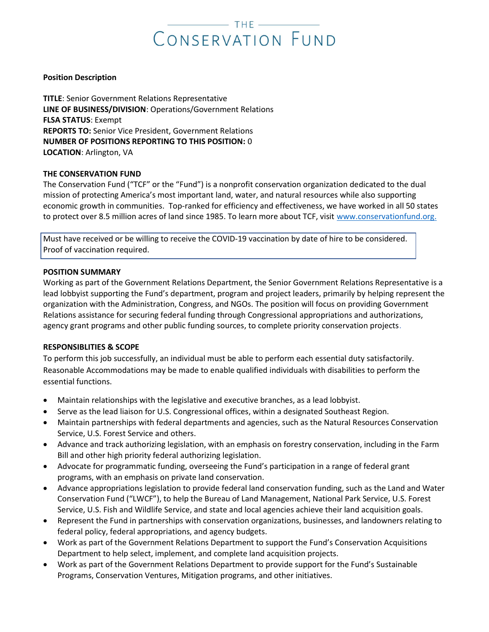# CONSERVATION FUND

## Position Description

TITLE: Senior Government Relations Representative LINE OF BUSINESS/DIVISION: Operations/Government Relations FLSA STATUS: Exempt REPORTS TO: Senior Vice President, Government Relations NUMBER OF POSITIONS REPORTING TO THIS POSITION: 0 LOCATION: Arlington, VA

# THE CONSERVATION FUND

The Conservation Fund ("TCF" or the "Fund") is a nonprofit conservation organization dedicated to the dual mission of protecting America's most important land, water, and natural resources while also supporting economic growth in communities. Top-ranked for efficiency and effectiveness, we have worked in all 50 states to protect over 8.5 million acres of land since 1985. To learn more about TCF, visit www.conservationfund.org.

Must have received or be willing to receive the COVID-19 vaccination by date of hire to be considered. Proof of vaccination required. p

## POSITION SUMMARY

Working as part of the Government Relations Department, the Senior Government Relations Representative is a lead lobbyist supporting the Fund's department, program and project leaders, primarily by helping represent the organization with the Administration, Congress, and NGOs. The position will focus on providing Government Relations assistance for securing federal funding through Congressional appropriations and authorizations, agency grant programs and other public funding sources, to complete priority conservation projects.

#### RESPONSIBLITIES & SCOPE

To perform this job successfully, an individual must be able to perform each essential duty satisfactorily. Reasonable Accommodations may be made to enable qualified individuals with disabilities to perform the essential functions.

- Maintain relationships with the legislative and executive branches, as a lead lobbyist.
- Serve as the lead liaison for U.S. Congressional offices, within a designated Southeast Region.
- Maintain partnerships with federal departments and agencies, such as the Natural Resources Conservation Service, U.S. Forest Service and others.
- Advance and track authorizing legislation, with an emphasis on forestry conservation, including in the Farm Bill and other high priority federal authorizing legislation.
- Advocate for programmatic funding, overseeing the Fund's participation in a range of federal grant programs, with an emphasis on private land conservation.
- Advance appropriations legislation to provide federal land conservation funding, such as the Land and Water Conservation Fund ("LWCF"), to help the Bureau of Land Management, National Park Service, U.S. Forest Service, U.S. Fish and Wildlife Service, and state and local agencies achieve their land acquisition goals.
- Represent the Fund in partnerships with conservation organizations, businesses, and landowners relating to federal policy, federal appropriations, and agency budgets.
- Work as part of the Government Relations Department to support the Fund's Conservation Acquisitions Department to help select, implement, and complete land acquisition projects.
- Work as part of the Government Relations Department to provide support for the Fund's Sustainable Programs, Conservation Ventures, Mitigation programs, and other initiatives.